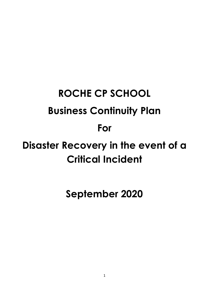# **ROCHE CP SCHOOL Business Continuity Plan For Disaster Recovery in the event of a Critical Incident**

**September 2020**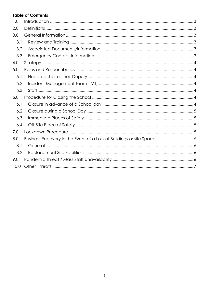# **Table of Contents**

| 1.0  |                                                                       |  |
|------|-----------------------------------------------------------------------|--|
| 2.0  |                                                                       |  |
| 3.0  |                                                                       |  |
| 3.1  |                                                                       |  |
| 3.2  |                                                                       |  |
| 3.3  |                                                                       |  |
| 4.0  |                                                                       |  |
| 5.0  |                                                                       |  |
| 5.1  |                                                                       |  |
| 5.2  |                                                                       |  |
| 5.3  |                                                                       |  |
| 6.0  |                                                                       |  |
| 6.1  |                                                                       |  |
| 6.2  |                                                                       |  |
| 6.3  |                                                                       |  |
| 6.4  |                                                                       |  |
| 7.0  |                                                                       |  |
| 8.0  | Business Recovery in the Event of a Loss of Buildings or site Space 6 |  |
| 8.1  |                                                                       |  |
| 8.2  |                                                                       |  |
| 9.0  |                                                                       |  |
| 10.0 |                                                                       |  |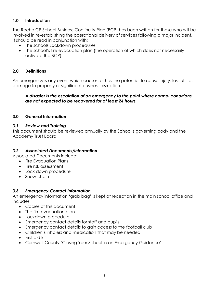## <span id="page-2-0"></span>**1.0 Introduction**

The Roche CP School Business Continuity Plan (BCP) has been written for those who will be involved in re-establishing the operational delivery of services following a major incident. It should be read in conjunction with:

- The schools Lockdown procedures
- The school's fire evacuation plan (the operation of which does not necessarily activate the BCP).

## <span id="page-2-1"></span>**2.0 Definitions**

An emergency is any event which causes, or has the potential to cause injury, loss of life, damage to property or significant business disruption.

#### *A disaster is the escalation of an emergency to the point where normal conditions are not expected to be recovered for at least 24 hours.*

#### <span id="page-2-2"></span>**3.0 General Information**

#### <span id="page-2-3"></span>*3.1 Review and Training*

This document should be reviewed annually by the School's governing body and the Academy Trust Board.

#### <span id="page-2-4"></span>*3.2 Associated Documents/information*

Associated Documents include:

- Fire Evacuation Plans
- Fire risk assessment
- Lock down procedure
- Snow chain

#### <span id="page-2-5"></span>*3.3 Emergency Contact Information*

An emergency information 'grab bag' is kept at reception in the main school office and includes:

- Copies of this document
- The fire evacuation plan
- Lockdown procedure
- Emergency contact details for staff and pupils
- Emergency contact details to gain access to the football club
- Children's inhalers and medication that may be needed
- First aid kit
- Cornwall County 'Closing Your School in an Emergency Guidance'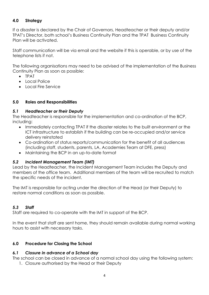### <span id="page-3-0"></span>**4.0 Strategy**

If a disaster is declared by the Chair of Governors, Headteacher or their deputy and/or TPAT's Director, both school's Business Continuity Plan and the TPAT Business Continuity Plan will be activated.

Staff communication will be via email and the website if this is operable, or by use of the telephone lists if not.

The following organisations may need to be advised of the implementation of the Business Continuity Plan as soon as possible:

- TPAT
- Local Police
- Local Fire Service

## <span id="page-3-1"></span>**5.0 Roles and Responsibilities**

#### <span id="page-3-2"></span>*5.1 Headteacher or their Deputy*

The Headteacher is responsible for the implementation and co-ordination of the BCP, including:

- Immediately contacting TPAT if the disaster relates to the built environment or the ICT infrastructure to establish if the building can be re-occupied and/or service delivery reinstated
- Co-ordination of status reports/communication for the benefit of all audiences (including staff, students, parents, LA, Academies Team at DFE, press)
- Maintaining the BCP in an up-to-date format

## <span id="page-3-3"></span>*5.2 Incident Management Team (IMT)*

Lead by the Headteacher, the Incident Management Team includes the Deputy and members of the office team. Additional members of the team will be recruited to match the specific needs of the incident.

The IMT is responsible for acting under the direction of the Head (or their Deputy) to restore normal conditions as soon as possible.

## <span id="page-3-4"></span>*5.3 Staff*

Staff are required to co-operate with the IMT in support of the BCP.

In the event that staff are sent home, they should remain available during normal working hours to assist with necessary tasks.

## <span id="page-3-5"></span>**6.0 Procedure for Closing the School**

## <span id="page-3-6"></span>*6.1 Closure in advance of a School day*

The school can be closed in advance of a normal school day using the following system: 1. Closure authorised by the Head or their Deputy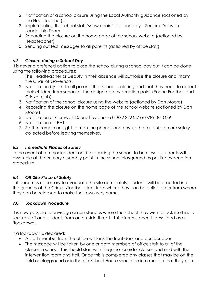- 2. Notification of a school closure using the Local Authority guidance (actioned by the Headteacher).
- 3. Implementing the school staff 'snow chain' (actioned by Senior / Decision Leadership Team)
- 4. Recording the closure on the home page of the school website (actioned by Headteacher)
- 5. Sending out text messages to all parents (actioned by office staff).

# <span id="page-4-0"></span>*6.2 Closure during a School Day*

It is never a preferred option to close the school during a school day but it can be done using the following procedures:

- 1. The Headteacher or Deputy in their absence will authorise the closure and inform the Chair of Governors.
- 2. Notification by text to all parents that school is closing and that they need to collect their children from school or the designated evacuation point (Roche Football and Cricket club)
- 3. Notification of the school closure using the website (actioned by Dan Moore)
- 4. Recording the closure on the home page of the school website (actioned by Dan Moore).
- 5. Notification of Cornwall Council by phone 01872 322457 or 07891840439
- 6. Notification of TPAT
- 7. Staff to remain on sight to man the phones and ensure that all children are safely collected before leaving themselves.

# <span id="page-4-1"></span>*6.3 Immediate Places of Safety*

In the event of a major incident on site requiring the school to be closed, students will assemble at the primary assembly point in the school playground as per fire evacuation procedure.

# <span id="page-4-2"></span>*6.4 Off-Site Place of Safety*

If it becomes necessary to evacuate the site completely, students will be escorted into the grounds of the Cricket/football club from where they can be collected or from where they can be released to make their own way home.

## <span id="page-4-3"></span>**7.0 Lockdown Procedure**

It is now possible to envisage circumstances where the school may wish to lock itself in, to secure staff and students from an outside threat. This circumstance is described as a 'lockdown'.

If a lockdown is declared:

- A staff member from the office will lock the front door and corridor door
- The message will be taken by one or both members of office staff to all of the classes in school. This should start with the junior corridor classes and end with the intervention room and hall. Once this is completed any classes that may be on the field or playground or in the old School House should be informed so that they can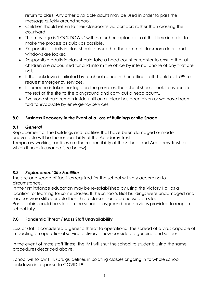return to class. Any other available adults may be used in order to pass the message quickly around school.

- Children should return to their classrooms via corridors rather than crossing the courtyard
- The message is 'LOCKDOWN' with no further explanation at that time in order to make the process as quick as possible.
- Responsible adults in class should ensure that the external classroom doors and windows are locked
- Responsible adults in class should take a head count or register to ensure that all children are accounted for and inform the office by internal phone of any that are not.
- If the lockdown is initiated by a school concern then office staff should call 999 to request emergency services.
- If someone is taken hostage on the premises, the school should seek to evacuate the rest of the site to the playground and carry out a head count..
- Everyone should remain inside until an all clear has been given or we have been told to evacuate by emergency services.

# <span id="page-5-0"></span>**8.0 Business Recovery in the Event of a Loss of Buildings or site Space**

## <span id="page-5-1"></span>*8.1 General*

Replacement of the buildings and facilities that have been damaged or made unavailable will be the responsibility of the Academy Trust Temporary working facilities are the responsibility of the School and Academy Trust for which it holds insurance (see below).

## <span id="page-5-2"></span>*8.2 Replacement Site Facilities*

The size and scope of facilities required for the school will vary according to circumstance.

In the first instance education may be re-established by using the Victory Hall as a location for learning for some classes. If the school's Eliot buildings were undamaged and services were still operable then three classes could be housed on site.

Porta cabins could be sited on the school playground and services provided to reopen school fully.

# <span id="page-5-3"></span>**9.0 Pandemic Threat / Mass Staff Unavailability**

Loss of staff is considered a generic threat to operations. The spread of a virus capable of impacting on operational service delivery is now considered genuine and serious.

In the event of mass staff illness, the IMT will shut the school to students using the same procedures described above.

<span id="page-5-4"></span>School will follow PHE/DfE guidelines in isolating classes or going in to whole school lockdown in response to COVID 19.